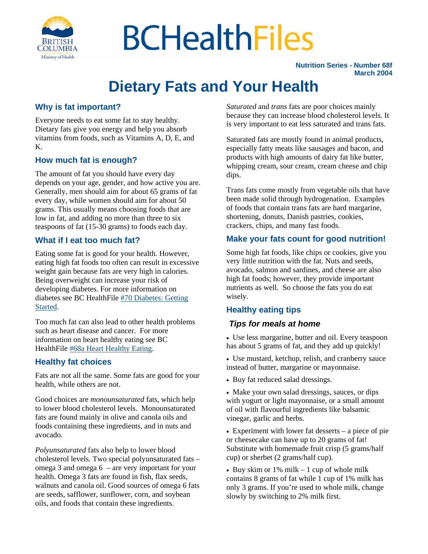

# **BCHealthFiles**

 **Nutrition Series - Number 68f March 2004** 

## **Dietary Fats and Your Health**

### **Why is fat important?**

Everyone needs to eat some fat to stay healthy. Dietary fats give you energy and help you absorb vitamins from foods, such as Vitamins A, D, E, and K.

#### **How much fat is enough?**

The amount of fat you should have every day depends on your age, gender, and how active you are. Generally, men should aim for about 65 grams of fat every day, while women should aim for about 50 grams. This usually means choosing foods that are low in fat, and adding no more than three to six teaspoons of fat (15-30 grams) to foods each day.

#### **What if I eat too much fat?**

Eating some fat is good for your health. However, eating high fat foods too often can result in excessive weight gain because fats are very high in calories. Being overweight can increase your risk of developing diabetes. For more information on diabetes see BC HealthFile [#70 Diabetes: Getting](http://www.bchealthguide.org/healthfiles/hfile70.stm)  [Started.](http://www.bchealthguide.org/healthfiles/hfile70.stm)

Too much fat can also lead to other health problems such as heart disease and cancer. For more information on heart healthy eating see BC HealthFile [#68a Heart Healthy Eating](http://www.bchealthguide.org/healthfiles/hfile68a.stm).

#### **Healthy fat choices**

Fats are not all the same. Some fats are good for your health, while others are not.

Good choices are *monounsaturated* fats, which help to lower blood cholesterol levels. Monounsaturated fats are found mainly in olive and canola oils and foods containing these ingredients, and in nuts and avocado.

*Polyunsaturated* fats also help to lower blood cholesterol levels. Two special polyunsaturated fats – omega 3 and omega 6 – are very important for your health. Omega 3 fats are found in fish, flax seeds, walnuts and canola oil. Good sources of omega 6 fats are seeds, safflower, sunflower, corn, and soybean oils, and foods that contain these ingredients.

*Saturated* and *trans* fats are poor choices mainly because they can increase blood cholesterol levels. It is very important to eat less saturated and trans fats.

Saturated fats are mostly found in animal products, especially fatty meats like sausages and bacon, and products with high amounts of dairy fat like butter, whipping cream, sour cream, cream cheese and chip dips.

Trans fats come mostly from vegetable oils that have been made solid through hydrogenation. Examples of foods that contain trans fats are hard margarine, shortening, donuts, Danish pastries, cookies, crackers, chips, and many fast foods.

#### **Make your fats count for good nutrition!**

Some high fat foods, like chips or cookies, give you very little nutrition with the fat. Nuts and seeds, avocado, salmon and sardines, and cheese are also high fat foods; however, they provide important nutrients as well. So choose the fats you do eat wisely.

#### **Healthy eating tips**

#### *Tips for meals at home*

• Use less margarine, butter and oil. Every teaspoon has about 5 grams of fat, and they add up quickly!

• Use mustard, ketchup, relish, and cranberry sauce instead of butter, margarine or mayonnaise.

• Buy fat reduced salad dressings.

• Make your own salad dressings, sauces, or dips with yogurt or light mayonnaise, or a small amount of oil with flavourful ingredients like balsamic vinegar, garlic and herbs.

• Experiment with lower fat desserts – a piece of pie or cheesecake can have up to 20 grams of fat! Substitute with homemade fruit crisp (5 grams/half cup) or sherbet (2 grams/half cup).

• Buy skim or  $1\%$  milk – 1 cup of whole milk contains 8 grams of fat while 1 cup of 1% milk has only 3 grams. If you're used to whole milk, change slowly by switching to 2% milk first.